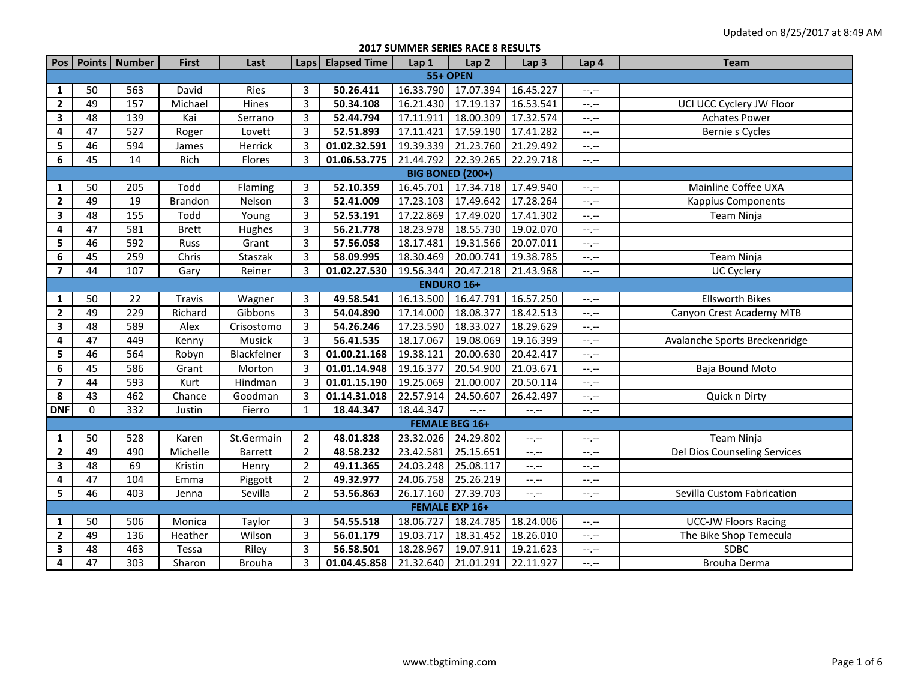**2017 SUMMER SERIES RACE 8 RESULTS**

| Pos                     |                   | Points   Number | <b>First</b>   | Last           | Laps           | <b>Elapsed Time</b> | Lap 1     | Lap <sub>2</sub>        | Lap <sub>3</sub> | Lap 4                         | <b>Team</b>                   |  |  |  |
|-------------------------|-------------------|-----------------|----------------|----------------|----------------|---------------------|-----------|-------------------------|------------------|-------------------------------|-------------------------------|--|--|--|
|                         |                   |                 |                |                |                |                     |           | <b>55+ OPEN</b>         |                  |                               |                               |  |  |  |
| 1                       | 50                | 563             | David          | Ries           | 3              | 50.26.411           | 16.33.790 | 17.07.394               | 16.45.227        | $-1, -1$                      |                               |  |  |  |
| $\mathbf{2}$            | 49                | 157             | Michael        | Hines          | $\overline{3}$ | 50.34.108           | 16.21.430 | 17.19.137               | 16.53.541        | $-1, -1$                      | UCI UCC Cyclery JW Floor      |  |  |  |
| $\mathbf{3}$            | 48                | 139             | Kai            | Serrano        | $\overline{3}$ | 52.44.794           | 17.11.911 | 18.00.309               | 17.32.574        | $-1, -1$                      | <b>Achates Power</b>          |  |  |  |
| 4                       | 47                | 527             | Roger          | Lovett         | 3              | 52.51.893           | 17.11.421 | 17.59.190               | 17.41.282        | $-1, -1$                      | Bernie s Cycles               |  |  |  |
| 5                       | 46                | 594             | James          | Herrick        | $\overline{3}$ | 01.02.32.591        | 19.39.339 | 21.23.760               | 21.29.492        | $\rightarrow$ , $\rightarrow$ |                               |  |  |  |
| 6                       | 45                | 14              | Rich           | Flores         | 3              | 01.06.53.775        | 21.44.792 | 22.39.265               | 22.29.718        | $-$ , $-$                     |                               |  |  |  |
|                         |                   |                 |                |                |                |                     |           | <b>BIG BONED (200+)</b> |                  |                               |                               |  |  |  |
| $\mathbf{1}$            | 50                | 205             | Todd           | Flaming        | 3              | 52.10.359           | 16.45.701 | 17.34.718               | 17.49.940        | $-1, -1$                      | Mainline Coffee UXA           |  |  |  |
| $\mathbf{2}$            | 49                | 19              | <b>Brandon</b> | Nelson         | 3              | 52.41.009           | 17.23.103 | 17.49.642               | 17.28.264        | $-1$                          | <b>Kappius Components</b>     |  |  |  |
| $\mathbf{3}$            | 48                | 155             | Todd           | Young          | 3              | 52.53.191           | 17.22.869 | 17.49.020               | 17.41.302        | $\rightarrow$ , $\rightarrow$ | Team Ninja                    |  |  |  |
| $\overline{\mathbf{4}}$ | 47                | 581             | <b>Brett</b>   | Hughes         | $\overline{3}$ | 56.21.778           | 18.23.978 | 18.55.730               | 19.02.070        | $-1$ , $-1$                   |                               |  |  |  |
| 5                       | 46                | 592             | Russ           | Grant          | 3              | 57.56.058           | 18.17.481 | 19.31.566               | 20.07.011        | $\rightarrow$ , $\rightarrow$ |                               |  |  |  |
| $\bf 6$                 | 45                | 259             | Chris          | Staszak        | $\overline{3}$ | 58.09.995           | 18.30.469 | 20.00.741               | 19.38.785        | $-1$ , $-1$                   | Team Ninja                    |  |  |  |
| $\overline{\mathbf{z}}$ | 44                | 107             | Gary           | Reiner         | $\overline{3}$ | 01.02.27.530        | 19.56.344 | 20.47.218               | 21.43.968        | $-$ , $-$                     | UC Cyclery                    |  |  |  |
|                         | <b>ENDURO 16+</b> |                 |                |                |                |                     |           |                         |                  |                               |                               |  |  |  |
| $\mathbf{1}$            | 50                | 22              | Travis         | Wagner         | 3              | 49.58.541           | 16.13.500 | 16.47.791               | 16.57.250        | --.--                         | <b>Ellsworth Bikes</b>        |  |  |  |
| $\overline{2}$          | 49                | 229             | Richard        | Gibbons        | 3              | 54.04.890           | 17.14.000 | 18.08.377               | 18.42.513        | $-1, -1$                      | Canyon Crest Academy MTB      |  |  |  |
| $\mathbf{3}$            | 48                | 589             | Alex           | Crisostomo     | 3              | 54.26.246           | 17.23.590 | 18.33.027               | 18.29.629        | --,--                         |                               |  |  |  |
| 4                       | 47                | 449             | Kenny          | Musick         | 3              | 56.41.535           | 18.17.067 | 19.08.069               | 19.16.399        | $-1$ . $-1$                   | Avalanche Sports Breckenridge |  |  |  |
| 5                       | 46                | 564             | Robyn          | Blackfelner    | 3              | 01.00.21.168        | 19.38.121 | 20.00.630               | 20.42.417        | --,--                         |                               |  |  |  |
| $\boldsymbol{6}$        | 45                | 586             | Grant          | Morton         | $\overline{3}$ | 01.01.14.948        | 19.16.377 | 20.54.900               | 21.03.671        | --.--                         | Baja Bound Moto               |  |  |  |
| $\overline{\mathbf{z}}$ | 44                | 593             | Kurt           | Hindman        | $\overline{3}$ | 01.01.15.190        | 19.25.069 | 21.00.007               | 20.50.114        | --.--                         |                               |  |  |  |
| 8                       | 43                | 462             | Chance         | Goodman        | 3              | 01.14.31.018        | 22.57.914 | 24.50.607               | 26.42.497        | $-1$ . $-1$                   | Quick n Dirty                 |  |  |  |
| <b>DNF</b>              | $\Omega$          | 332             | Justin         | Fierro         | $\mathbf{1}$   | 18.44.347           | 18.44.347 | $-1$ .                  | --.--            | $-1$                          |                               |  |  |  |
|                         |                   |                 |                |                |                |                     |           | <b>FEMALE BEG 16+</b>   |                  |                               |                               |  |  |  |
| 1                       | 50                | 528             | Karen          | St.Germain     | $\overline{2}$ | 48.01.828           | 23.32.026 | 24.29.802               | $-1$ .           | --.--                         | Team Ninja                    |  |  |  |
| $\mathbf{2}$            | 49                | 490             | Michelle       | <b>Barrett</b> | $\overline{2}$ | 48.58.232           | 23.42.581 | 25.15.651               | $-1$             | --.--                         | Del Dios Counseling Services  |  |  |  |
| $\mathbf{3}$            | 48                | 69              | Kristin        | Henry          | $\overline{2}$ | 49.11.365           | 24.03.248 | 25.08.117               | --.--            | $-1, -1$                      |                               |  |  |  |
| 4                       | 47                | 104             | Emma           | Piggott        | $\overline{2}$ | 49.32.977           | 24.06.758 | 25.26.219               | $-1$             | $-1, -1$                      |                               |  |  |  |
| 5                       | 46                | 403             | Jenna          | Sevilla        | $\overline{2}$ | 53.56.863           | 26.17.160 | 27.39.703               | $-1$ .           | --.--                         | Sevilla Custom Fabrication    |  |  |  |
|                         |                   |                 |                |                |                |                     |           | <b>FEMALE EXP 16+</b>   |                  |                               |                               |  |  |  |
| $\mathbf{1}$            | 50                | 506             | Monica         | Taylor         | 3              | 54.55.518           | 18.06.727 | 18.24.785               | 18.24.006        | $-1, -1$                      | <b>UCC-JW Floors Racing</b>   |  |  |  |
| $\mathbf{2}$            | 49                | 136             | Heather        | Wilson         | $\overline{3}$ | 56.01.179           | 19.03.717 | 18.31.452               | 18.26.010        | $-1, -1$                      | The Bike Shop Temecula        |  |  |  |
| 3                       | 48                | 463             | Tessa          | Riley          | $\overline{3}$ | 56.58.501           | 18.28.967 | 19.07.911               | 19.21.623        | $-1$                          | <b>SDBC</b>                   |  |  |  |
| 4                       | 47                | 303             | Sharon         | <b>Brouha</b>  | $\overline{3}$ | 01.04.45.858        | 21.32.640 | 21.01.291               | 22.11.927        | $-1, -1$                      | Brouha Derma                  |  |  |  |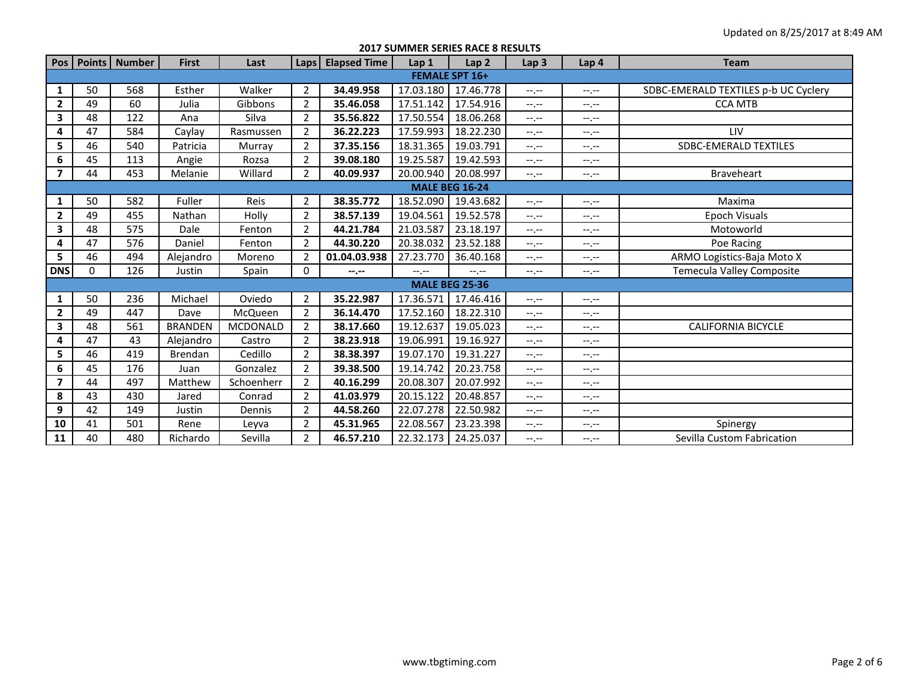**2017 SUMMER SERIES RACE 8 RESULTS**

| Pos                     |                       | Points   Number | <b>First</b>   | Last            | Laps           | <b>Elapsed Time</b> | Lap <sub>1</sub> | Lap <sub>2</sub>      | Lap <sub>3</sub> | Lap 4     | <b>Team</b>                          |  |  |  |  |
|-------------------------|-----------------------|-----------------|----------------|-----------------|----------------|---------------------|------------------|-----------------------|------------------|-----------|--------------------------------------|--|--|--|--|
|                         |                       |                 |                |                 |                |                     |                  | <b>FEMALE SPT 16+</b> |                  |           |                                      |  |  |  |  |
| 1                       | 50                    | 568             | Esther         | Walker          | $\overline{2}$ | 34.49.958           | 17.03.180        | 17.46.778             | $-1$ , $-1$      | $-1, -1$  | SDBC-EMERALD TEXTILES p-b UC Cyclery |  |  |  |  |
| $\overline{2}$          | 49                    | 60              | Julia          | Gibbons         | $\overline{2}$ | 35.46.058           | 17.51.142        | 17.54.916             | $-1$ , $-1$      | $-1, -1$  | <b>CCA MTB</b>                       |  |  |  |  |
| 3                       | 48                    | 122             | Ana            | Silva           | $\overline{2}$ | 35.56.822           | 17.50.554        | 18.06.268             | $-1 - 1 - 1 = 0$ | $-1$      |                                      |  |  |  |  |
| 4                       | 47                    | 584             | Caylay         | Rasmussen       | $\overline{2}$ | 36.22.223           | 17.59.993        | 18.22.230             | $-1$ , $-1$      | $-1. -1$  | LIV                                  |  |  |  |  |
| 5                       | 46                    | 540             | Patricia       | Murray          | $\overline{2}$ | 37.35.156           | 18.31.365        | 19.03.791             | $-1$ , $-1$      | $-1. -1$  | SDBC-EMERALD TEXTILES                |  |  |  |  |
| $\bf 6$                 | 45                    | 113             | Angie          | Rozsa           | $\overline{2}$ | 39.08.180           | 19.25.587        | 19.42.593             | $-1$ .           | $-1, -1$  |                                      |  |  |  |  |
| $\overline{ }$          | 44                    | 453             | Melanie        | Willard         | $\overline{2}$ | 40.09.937           | 20.00.940        | 20.08.997             | $-1, -1$         | $-1, -1$  | Braveheart                           |  |  |  |  |
|                         | <b>MALE BEG 16-24</b> |                 |                |                 |                |                     |                  |                       |                  |           |                                      |  |  |  |  |
| 1                       | 50                    | 582             | Fuller         | Reis            | $\overline{2}$ | 38.35.772           | 18.52.090        | 19.43.682             | $-1 - 1 - 1 = 0$ | $-1, -1$  | Maxima                               |  |  |  |  |
| $\overline{2}$          | 49                    | 455             | Nathan         | Holly           | $\overline{2}$ | 38.57.139           | 19.04.561        | 19.52.578             | $-1, -1$         | $-1, -1$  | <b>Epoch Visuals</b>                 |  |  |  |  |
| 3                       | 48                    | 575             | Dale           | Fenton          | $\overline{2}$ | 44.21.784           | 21.03.587        | 23.18.197             | $-1, -1$         | $-1$      | Motoworld                            |  |  |  |  |
| 4                       | 47                    | 576             | Daniel         | Fenton          | $\overline{2}$ | 44.30.220           | 20.38.032        | 23.52.188             | $-1$ , $-1$      | $-1, -1$  | Poe Racing                           |  |  |  |  |
| 5                       | 46                    | 494             | Alejandro      | Moreno          | $\overline{2}$ | 01.04.03.938        | 27.23.770        | 36.40.168             | $-1, -1$         | $-1, -1$  | ARMO Logistics-Baja Moto X           |  |  |  |  |
| <b>DNS</b>              | $\mathbf 0$           | 126             | Justin         | Spain           | 0              | $- - - - -$         | $-1$ , $-1$      | $-1, -1$              | $-1, -1$         | $-1. -1$  | Temecula Valley Composite            |  |  |  |  |
|                         |                       |                 |                |                 |                |                     |                  | <b>MALE BEG 25-36</b> |                  |           |                                      |  |  |  |  |
| 1                       | 50                    | 236             | Michael        | Oviedo          | $\overline{2}$ | 35.22.987           | 17.36.571        | 17.46.416             | $-1$ , $-1$      | $-1. -1$  |                                      |  |  |  |  |
| $\overline{2}$          | 49                    | 447             | Dave           | McQueen         | $\overline{2}$ | 36.14.470           | 17.52.160        | 18.22.310             | $-1, -1$         | $-1. -1$  |                                      |  |  |  |  |
| 3                       | 48                    | 561             | <b>BRANDEN</b> | <b>MCDONALD</b> | $\overline{2}$ | 38.17.660           | 19.12.637        | 19.05.023             | $-1 - 1 - 1 = 0$ | $-1. -1$  | <b>CALIFORNIA BICYCLE</b>            |  |  |  |  |
| 4                       | 47                    | 43              | Alejandro      | Castro          | $\overline{2}$ | 38.23.918           | 19.06.991        | 19.16.927             | $-1, -1$         | $-1, -1$  |                                      |  |  |  |  |
| 5                       | 46                    | 419             | <b>Brendan</b> | Cedillo         | $\overline{2}$ | 38.38.397           | 19.07.170        | 19.31.227             | $-1$ , $-1$      | $-1. -1$  |                                      |  |  |  |  |
| 6                       | 45                    | 176             | Juan           | Gonzalez        | $\overline{2}$ | 39.38.500           | 19.14.742        | 20.23.758             | $-1$ , $-1$      | $-1. -1$  |                                      |  |  |  |  |
| $\overline{\mathbf{z}}$ | 44                    | 497             | Matthew        | Schoenherr      | $\overline{2}$ | 40.16.299           | 20.08.307        | 20.07.992             | $-1, -1$         | $-1, -1$  |                                      |  |  |  |  |
| 8                       | 43                    | 430             | Jared          | Conrad          | $\overline{2}$ | 41.03.979           | 20.15.122        | 20.48.857             | $-1$ , $-1$      | $-1, -1$  |                                      |  |  |  |  |
| 9                       | 42                    | 149             | Justin         | Dennis          | $\overline{2}$ | 44.58.260           | 22.07.278        | 22.50.982             | $-1, -1$         | $-1, -1$  |                                      |  |  |  |  |
| 10                      | 41                    | 501             | Rene           | Leyva           | $\overline{2}$ | 45.31.965           | 22.08.567        | 23.23.398             | $-1, -1$         | $-1, -1$  | Spinergy                             |  |  |  |  |
| 11                      | 40                    | 480             | Richardo       | Sevilla         | $\overline{2}$ | 46.57.210           | 22.32.173        | 24.25.037             | $-1$ , $-1$      | $-1. - -$ | Sevilla Custom Fabrication           |  |  |  |  |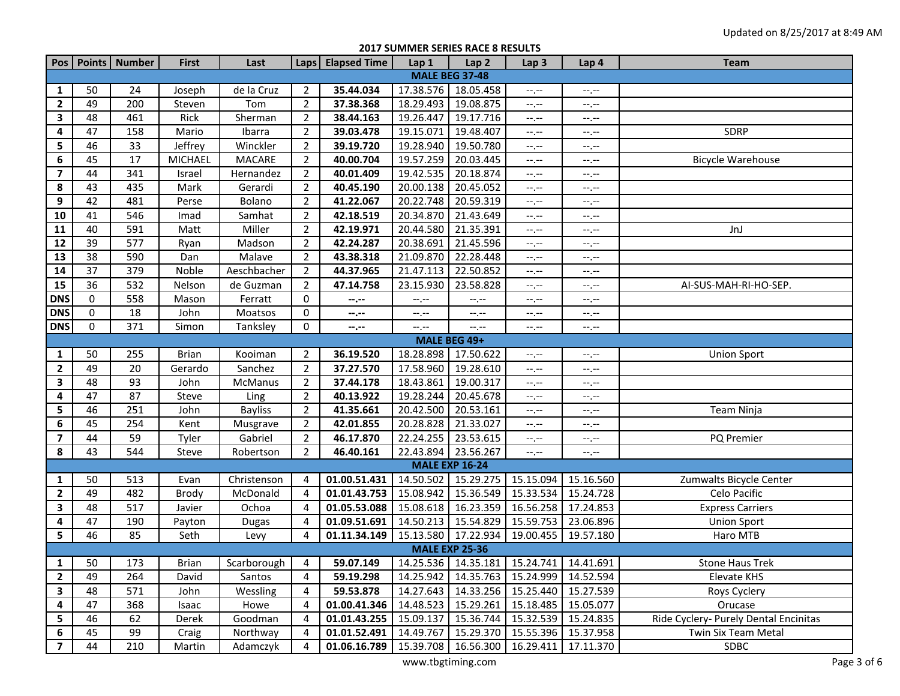**2017 SUMMER SERIES RACE 8 RESULTS**

|                         |    | Pos   Points   Number | <b>First</b> | Last           |                | Laps   Elapsed Time                                                         | Lap 1                                      | Lap <sub>2</sub>                              | Lap <sub>3</sub>    | Lap 4                      | <b>Team</b>                           |
|-------------------------|----|-----------------------|--------------|----------------|----------------|-----------------------------------------------------------------------------|--------------------------------------------|-----------------------------------------------|---------------------|----------------------------|---------------------------------------|
|                         |    |                       |              |                |                |                                                                             |                                            | <b>MALE BEG 37-48</b>                         |                     |                            |                                       |
| 1                       | 50 | 24                    | Joseph       | de la Cruz     | 2              | 35.44.034                                                                   | 17.38.576 18.05.458                        |                                               | --.--               | --.--                      |                                       |
| $\mathbf{2}$            | 49 | 200                   | Steven       | Tom            | $\overline{2}$ | 37.38.368                                                                   | 18.29.493                                  | 19.08.875                                     | --,--               | --.--                      |                                       |
| 3                       | 48 | 461                   | Rick         | Sherman        | $\overline{2}$ | 38.44.163                                                                   | 19.26.447                                  | 19.17.716                                     | --,--               | --.--                      |                                       |
| 4                       | 47 | 158                   | Mario        | Ibarra         | $\overline{2}$ | 39.03.478                                                                   | 19.15.071                                  | 19.48.407                                     | --,--               | --.--                      | SDRP                                  |
| 5                       | 46 | 33                    | Jeffrey      | Winckler       | $\overline{2}$ | 39.19.720                                                                   | 19.28.940                                  | 19.50.780                                     | $-1$                | $-1, -1$                   |                                       |
| 6                       | 45 | 17                    | MICHAEL      | <b>MACARE</b>  | $\overline{2}$ | 40.00.704                                                                   | 19.57.259                                  | 20.03.445                                     | $-1$                | --.--                      | <b>Bicycle Warehouse</b>              |
| 7                       | 44 | 341                   | Israel       | Hernandez      | $\overline{2}$ | 40.01.409                                                                   | 19.42.535                                  | 20.18.874                                     | $-1$                | $-1, -1$                   |                                       |
| 8                       | 43 | 435                   | Mark         | Gerardi        | $\overline{2}$ | 40.45.190                                                                   | 20.00.138                                  | 20.45.052                                     | $-,-$               | $-1, -1$                   |                                       |
| 9                       | 42 | 481                   | Perse        | Bolano         | $\overline{2}$ | 41.22.067                                                                   | 20.22.748                                  | 20.59.319                                     | --.--               | $-\mathbb{I},\mathbb{I}$ . |                                       |
| 10                      | 41 | 546                   | Imad         | Samhat         | $\overline{2}$ | 42.18.519                                                                   | 20.34.870                                  | 21.43.649                                     | $-1$                | $-1, -1$                   |                                       |
| ${\bf 11}$              | 40 | 591                   | Matt         | Miller         | $\overline{2}$ | 42.19.971                                                                   | 20.44.580                                  | 21.35.391                                     | --,--               | $-1, -1$                   | JnJ                                   |
| ${\bf 12}$              | 39 | 577                   | Ryan         | Madson         | $\overline{2}$ | 42.24.287                                                                   | 20.38.691                                  | 21.45.596                                     | --,--               | --.--                      |                                       |
| 13                      | 38 | 590                   | Dan          | Malave         | $\overline{2}$ | 43.38.318                                                                   | 21.09.870                                  | 22.28.448                                     | --.--               | --.--                      |                                       |
| ${\bf 14}$              | 37 | 379                   | Noble        | Aeschbacher    | $\overline{2}$ | 44.37.965                                                                   | 21.47.113                                  | 22.50.852                                     | --.--               | $-1, -1$                   |                                       |
| 15                      | 36 | 532                   | Nelson       | de Guzman      | $\overline{2}$ | 47.14.758                                                                   | 23.15.930                                  | 23.58.828                                     | $-1$                | $-\mathbb{I},\mathbb{I}$ . | AI-SUS-MAH-RI-HO-SEP.                 |
| <b>DNS</b>              | 0  | 558                   | Mason        | Ferratt        | 0              | $- - - - -$                                                                 | $\scriptstyle \cdots, \scriptstyle \cdots$ | $-1, -1$                                      | $-1$                | $-1, -1$                   |                                       |
| <b>DNS</b>              | 0  | 18                    | John         | Moatsos        | 0              | $-2 - 1$                                                                    | $-1, -1$                                   | $-1$ , $-1$                                   | $-1, -1$            | $-1, -1$                   |                                       |
| <b>DNS</b>              | 0  | 371                   | Simon        | Tanksley       | 0              | --.--                                                                       | $-1, -1$                                   | $-1, -1$                                      | --,--               | $-1, -1$                   |                                       |
|                         |    |                       |              |                |                |                                                                             | MALE BEG 49+                               |                                               |                     |                            |                                       |
| 1                       | 50 | 255                   | <b>Brian</b> | Kooiman        | $\overline{2}$ | 36.19.520                                                                   | 18.28.898                                  | 17.50.622                                     | $-1$                | $-1, -1$                   | <b>Union Sport</b>                    |
| $\mathbf{2}$            | 49 | 20                    | Gerardo      | Sanchez        | $\overline{2}$ | 37.27.570                                                                   | 17.58.960                                  | 19.28.610                                     | $-1$ , $-1$         | $-1, -1$                   |                                       |
| 3                       | 48 | 93                    | John         | McManus        | $\overline{2}$ | 37.44.178                                                                   | 18.43.861                                  | 19.00.317                                     | $-1, -1$            | $-\mathbb{I},\mathbb{I}$ . |                                       |
| 4                       | 47 | 87                    | Steve        | Ling           | $\overline{2}$ | 40.13.922                                                                   | 19.28.244                                  | 20.45.678                                     | $-1$                | $-1, -1$                   |                                       |
| 5                       | 46 | 251                   | John         | <b>Bayliss</b> | $\overline{2}$ | 41.35.661                                                                   | 20.42.500                                  | 20.53.161                                     | --.--               | $-1$                       | Team Ninja                            |
| 6                       | 45 | 254                   | Kent         | Musgrave       | $\overline{2}$ | 42.01.855                                                                   | 20.28.828                                  | 21.33.027                                     | --,--               | $-1$                       |                                       |
| $\overline{\mathbf{z}}$ | 44 | 59                    | Tyler        | Gabriel        | $\overline{2}$ | 46.17.870                                                                   | 22.24.255                                  | 23.53.615                                     | --.--               | --.--                      | PQ Premier                            |
| 8                       | 43 | 544                   | Steve        | Robertson      | $\overline{2}$ | 46.40.161                                                                   | 22.43.894 23.56.267                        |                                               | $-1$                | $-1$                       |                                       |
|                         |    |                       |              |                |                |                                                                             |                                            | <b>MALE EXP 16-24</b>                         |                     |                            |                                       |
| 1                       | 50 | 513                   | Evan         | Christenson    | 4              | 01.00.51.431                                                                | 14.50.502                                  | 15.29.275                                     | 15.15.094           | 15.16.560                  | Zumwalts Bicycle Center               |
| $\overline{2}$          | 49 | 482                   | Brody        | McDonald       | 4              | 01.01.43.753                                                                | 15.08.942                                  | 15.36.549                                     | 15.33.534           | 15.24.728                  | Celo Pacific                          |
| 3                       | 48 | 517                   | Javier       | Ochoa          | 4              | 01.05.53.088                                                                | 15.08.618 16.23.359                        |                                               | 16.56.258 17.24.853 |                            | <b>Express Carriers</b>               |
| 4                       | 47 | 190                   | Payton       | <b>Dugas</b>   | 4              | 01.09.51.691                                                                | 14.50.213 15.54.829                        |                                               | 15.59.753           | 23.06.896                  | <b>Union Sport</b>                    |
| 5                       | 46 | 85                    | Seth         | Levy           | 4              | 01.11.34.149                                                                | 15.13.580 17.22.934                        |                                               | 19.00.455           | 19.57.180                  | Haro MTB                              |
|                         |    |                       |              |                |                |                                                                             |                                            | <b>MALE EXP 25-36</b>                         |                     |                            |                                       |
| $1 \vert$               | 50 | 173                   | <b>Brian</b> |                |                | Scarborough   4   59.07.149   14.25.536   14.35.181   15.24.741   14.41.691 |                                            |                                               |                     |                            | <b>Stone Haus Trek</b>                |
| $\overline{2}$          | 49 | 264                   | David        | Santos         | 4              | 59.19.298                                                                   |                                            | 14.25.942   14.35.763   15.24.999   14.52.594 |                     |                            | Elevate KHS                           |
| $\mathbf{3}$            | 48 | 571                   | John         | Wessling       | 4              | 59.53.878                                                                   |                                            | 14.27.643   14.33.256   15.25.440   15.27.539 |                     |                            | Roys Cyclery                          |
| 4                       | 47 | 368                   | Isaac        | Howe           | 4              | 01.00.41.346                                                                |                                            | 14.48.523 15.29.261                           | 15.18.485 15.05.077 |                            | Orucase                               |
| 5                       | 46 | 62                    | Derek        | Goodman        | 4              | 01.01.43.255                                                                |                                            | 15.09.137   15.36.744                         | 15.32.539 15.24.835 |                            | Ride Cyclery- Purely Dental Encinitas |
| 6                       | 45 | 99                    | Craig        | Northway       | 4              | 01.01.52.491                                                                | 14.49.767                                  | 15.29.370                                     | 15.55.396 15.37.958 |                            | Twin Six Team Metal                   |
| $\overline{\mathbf{z}}$ | 44 | 210                   | Martin       | Adamczyk       | 4              | 01.06.16.789                                                                |                                            | 15.39.708 16.56.300                           | 16.29.411           | 17.11.370                  | <b>SDBC</b>                           |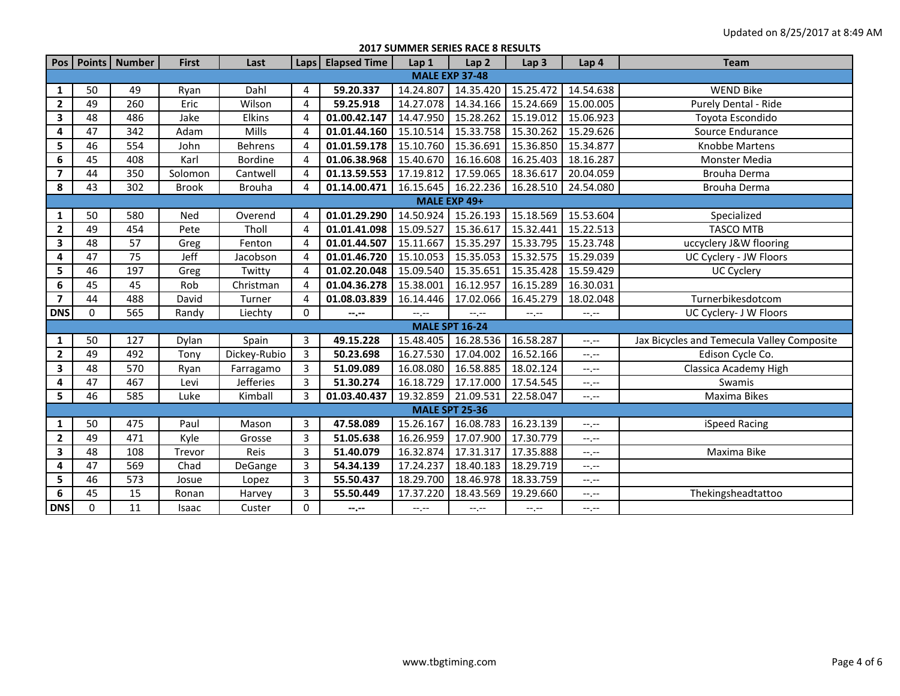**2017 SUMMER SERIES RACE 8 RESULTS**

|                         |              | Pos   Points   Number | <b>First</b> | Last             |                | Laps   Elapsed Time | Lap 1               | Lap <sub>2</sub>      | Lap <sub>3</sub>            | Lap 4       | <b>Team</b>                                |  |  |  |  |
|-------------------------|--------------|-----------------------|--------------|------------------|----------------|---------------------|---------------------|-----------------------|-----------------------------|-------------|--------------------------------------------|--|--|--|--|
|                         |              |                       |              |                  |                |                     |                     | <b>MALE EXP 37-48</b> |                             |             |                                            |  |  |  |  |
| $\mathbf{1}$            | 50           | 49                    | Ryan         | Dahl             | 4              | 59.20.337           | 14.24.807           | 14.35.420             | 15.25.472                   | 14.54.638   | <b>WEND Bike</b>                           |  |  |  |  |
| $\mathbf{2}$            | 49           | 260                   | Eric         | Wilson           | 4              | 59.25.918           | 14.27.078           | 14.34.166             | 15.24.669                   | 15.00.005   | Purely Dental - Ride                       |  |  |  |  |
| 3                       | 48           | 486                   | Jake         | <b>Elkins</b>    | 4              | 01.00.42.147        | 14.47.950           | 15.28.262             | 15.19.012                   | 15.06.923   | Toyota Escondido                           |  |  |  |  |
| 4                       | 47           | 342                   | Adam         | Mills            | 4              | 01.01.44.160        | 15.10.514           | 15.33.758             | 15.30.262                   | 15.29.626   | Source Endurance                           |  |  |  |  |
| 5                       | 46           | 554                   | John         | <b>Behrens</b>   | $\overline{4}$ | 01.01.59.178        | 15.10.760           | 15.36.691             | 15.36.850                   | 15.34.877   | Knobbe Martens                             |  |  |  |  |
| 6                       | 45           | 408                   | Karl         | Bordine          | 4              | 01.06.38.968        | 15.40.670           | 16.16.608             | 16.25.403                   | 18.16.287   | Monster Media                              |  |  |  |  |
| $\overline{\mathbf{z}}$ | 44           | 350                   | Solomon      | Cantwell         | 4              | 01.13.59.553        | 17.19.812           | 17.59.065             | 18.36.617                   | 20.04.059   | Brouha Derma                               |  |  |  |  |
| 8                       | 43           | 302                   | <b>Brook</b> | <b>Brouha</b>    | 4              | 01.14.00.471        | 16.15.645           | 16.22.236             | 16.28.510                   | 24.54.080   | Brouha Derma                               |  |  |  |  |
|                         | MALE EXP 49+ |                       |              |                  |                |                     |                     |                       |                             |             |                                            |  |  |  |  |
| 1                       | 50           | 580                   | Ned          | Overend          | 4              | 01.01.29.290        | 14.50.924 15.26.193 |                       | 15.18.569                   | 15.53.604   | Specialized                                |  |  |  |  |
| $\mathbf{2}$            | 49           | 454                   | Pete         | Tholl            | 4              | 01.01.41.098        | 15.09.527           | 15.36.617             | 15.32.441                   | 15.22.513   | <b>TASCO MTB</b>                           |  |  |  |  |
| 3                       | 48           | 57                    | Greg         | Fenton           | 4              | 01.01.44.507        | 15.11.667           | 15.35.297             | 15.33.795                   | 15.23.748   | uccyclery J&W flooring                     |  |  |  |  |
| 4                       | 47           | 75                    | Jeff         | Jacobson         | 4              | 01.01.46.720        | 15.10.053           | 15.35.053             | 15.32.575                   | 15.29.039   | UC Cyclery - JW Floors                     |  |  |  |  |
| 5                       | 46           | 197                   | Greg         | Twitty           | $\overline{4}$ | 01.02.20.048        | 15.09.540           | 15.35.651             | 15.35.428                   | 15.59.429   | <b>UC Cyclery</b>                          |  |  |  |  |
| 6                       | 45           | 45                    | Rob          | Christman        | 4              | 01.04.36.278        | 15.38.001           | 16.12.957             | 16.15.289                   | 16.30.031   |                                            |  |  |  |  |
| $\overline{\mathbf{z}}$ | 44           | 488                   | David        | Turner           | 4              | 01.08.03.839        | 16.14.446           | 17.02.066             | 16.45.279                   | 18.02.048   | Turnerbikesdotcom                          |  |  |  |  |
| <b>DNS</b>              | $\mathbf 0$  | 565                   | Randy        | Liechty          | 0              | $- - - - -$         | $-1, -1$            | $-,-$                 | $\leftarrow$ , $\leftarrow$ | $-1$ . $-1$ | UC Cyclery- J W Floors                     |  |  |  |  |
|                         |              |                       |              |                  |                |                     |                     | <b>MALE SPT 16-24</b> |                             |             |                                            |  |  |  |  |
| $\mathbf{1}$            | 50           | 127                   | Dylan        | Spain            | $\mathbf{3}$   | 49.15.228           | 15.48.405           | 16.28.536             | 16.58.287                   | $-1$ , $-1$ | Jax Bicycles and Temecula Valley Composite |  |  |  |  |
| $\overline{2}$          | 49           | 492                   | Tony         | Dickey-Rubio     | 3              | 50.23.698           | 16.27.530           | 17.04.002             | 16.52.166                   | $-1, -1$    | Edison Cycle Co.                           |  |  |  |  |
| 3                       | 48           | 570                   | Ryan         | Farragamo        | 3              | 51.09.089           | 16.08.080           | 16.58.885             | 18.02.124                   | $-1, -1$    | Classica Academy High                      |  |  |  |  |
| 4                       | 47           | 467                   | Levi         | <b>Jefferies</b> | 3              | 51.30.274           | 16.18.729           | 17.17.000             | 17.54.545                   | $-1$        | Swamis                                     |  |  |  |  |
| 5                       | 46           | 585                   | Luke         | Kimball          | 3              | 01.03.40.437        | 19.32.859           | 21.09.531             | 22.58.047                   | $-1$ .      | Maxima Bikes                               |  |  |  |  |
|                         |              |                       |              |                  |                |                     |                     | <b>MALE SPT 25-36</b> |                             |             |                                            |  |  |  |  |
| $\mathbf{1}$            | 50           | 475                   | Paul         | Mason            | 3              | 47.58.089           | 15.26.167           | 16.08.783             | 16.23.139                   | $-1$        | iSpeed Racing                              |  |  |  |  |
| $\mathbf{2}$            | 49           | 471                   | Kyle         | Grosse           | 3              | 51.05.638           | 16.26.959           | 17.07.900             | 17.30.779                   | $-1$ , $-1$ |                                            |  |  |  |  |
| 3                       | 48           | 108                   | Trevor       | Reis             | $\overline{3}$ | 51.40.079           | 16.32.874           | 17.31.317             | 17.35.888                   | $-1, -1$    | Maxima Bike                                |  |  |  |  |
| 4                       | 47           | 569                   | Chad         | DeGange          | $\mathbf{3}$   | 54.34.139           | 17.24.237           | 18.40.183             | 18.29.719                   | $-1$ , $-1$ |                                            |  |  |  |  |
| 5                       | 46           | 573                   | Josue        | Lopez            | $\overline{3}$ | 55.50.437           | 18.29.700           | 18.46.978             | 18.33.759                   | $-1$        |                                            |  |  |  |  |
| 6                       | 45           | 15                    | Ronan        | Harvey           | 3              | 55.50.449           | 17.37.220           | 18.43.569             | 19.29.660                   | $-1$ . $-1$ | Thekingsheadtattoo                         |  |  |  |  |
| <b>DNS</b>              | 0            | 11                    | Isaac        | Custer           | 0              | $-1, -1$            | $-1, -1$            | $-1, -1$              | $-1, -1$                    | $-1, -1$    |                                            |  |  |  |  |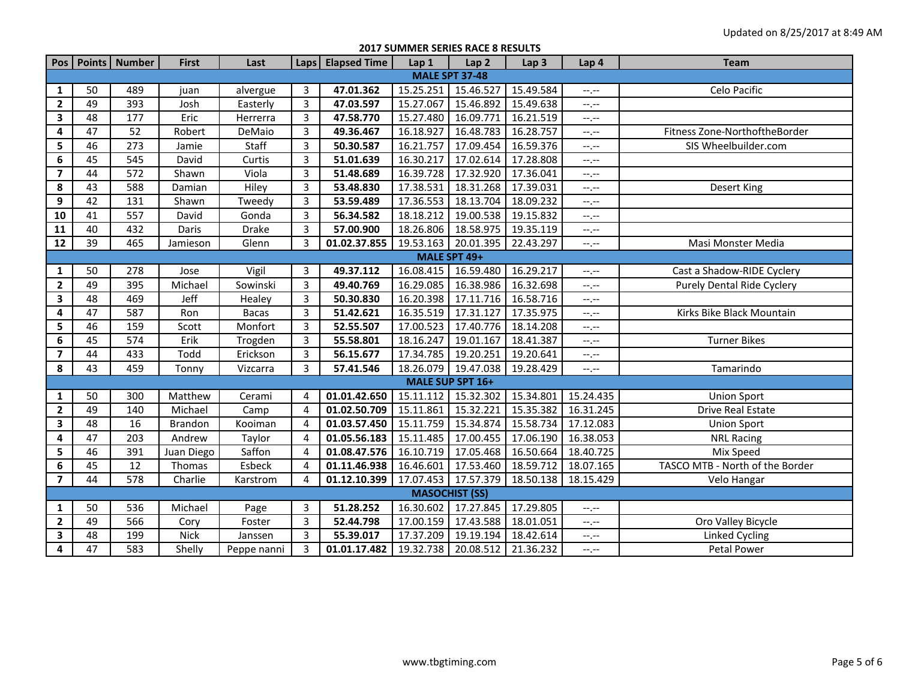**2017 SUMMER SERIES RACE 8 RESULTS**

|                         |                 | Pos   Points   Number | <b>First</b>   | Last         |                | Laps   Elapsed Time | Lap 1                 | Lap <sub>2</sub> | Lap <sub>3</sub> | Lap 4       | <b>Team</b>                     |  |  |
|-------------------------|-----------------|-----------------------|----------------|--------------|----------------|---------------------|-----------------------|------------------|------------------|-------------|---------------------------------|--|--|
|                         |                 |                       |                |              |                |                     | <b>MALE SPT 37-48</b> |                  |                  |             |                                 |  |  |
| 1                       | 50              | 489                   | juan           | alvergue     | 3              | 47.01.362           | 15.25.251             | 15.46.527        | 15.49.584        | --.--       | Celo Pacific                    |  |  |
| $\mathbf{2}$            | 49              | 393                   | Josh           | Easterly     | $\overline{3}$ | 47.03.597           | 15.27.067             | 15.46.892        | 15.49.638        | $-1$        |                                 |  |  |
| 3                       | 48              | 177                   | Eric           | Herrerra     | $\overline{3}$ | 47.58.770           | 15.27.480             | 16.09.771        | 16.21.519        | $-1$        |                                 |  |  |
| 4                       | $\overline{47}$ | 52                    | Robert         | DeMaio       | $\overline{3}$ | 49.36.467           | 16.18.927             | 16.48.783        | 16.28.757        | $-1$        | Fitness Zone-NorthoftheBorder   |  |  |
| 5                       | 46              | 273                   | Jamie          | Staff        | $\overline{3}$ | 50.30.587           | 16.21.757             | 17.09.454        | 16.59.376        | $-1$ . $-1$ | SIS Wheelbuilder.com            |  |  |
| 6                       | 45              | 545                   | David          | Curtis       | $\overline{3}$ | 51.01.639           | 16.30.217             | 17.02.614        | 17.28.808        | $-1$ .      |                                 |  |  |
| $\overline{7}$          | 44              | 572                   | Shawn          | Viola        | 3              | 51.48.689           | 16.39.728             | 17.32.920        | 17.36.041        | $-1$        |                                 |  |  |
| 8                       | 43              | 588                   | Damian         | Hiley        | $\overline{3}$ | 53.48.830           | 17.38.531             | 18.31.268        | 17.39.031        | $-1$        | Desert King                     |  |  |
| 9                       | 42              | 131                   | Shawn          | Tweedy       | 3              | 53.59.489           | 17.36.553             | 18.13.704        | 18.09.232        | $-1$        |                                 |  |  |
| 10                      | 41              | 557                   | David          | Gonda        | 3              | 56.34.582           | 18.18.212             | 19.00.538        | 19.15.832        | $-1$        |                                 |  |  |
| 11                      | 40              | 432                   | Daris          | Drake        | 3              | 57.00.900           | 18.26.806             | 18.58.975        | 19.35.119        | $-1$ , $-1$ |                                 |  |  |
| 12                      | $\overline{39}$ | 465                   | Jamieson       | Glenn        | $\overline{3}$ | 01.02.37.855        | 19.53.163             | 20.01.395        | 22.43.297        | $-1$        | Masi Monster Media              |  |  |
|                         | MALE SPT 49+    |                       |                |              |                |                     |                       |                  |                  |             |                                 |  |  |
| 1                       | 50              | 278                   | Jose           | Vigil        | 3              | 49.37.112           | 16.08.415             | 16.59.480        | 16.29.217        | $--, --$    | Cast a Shadow-RIDE Cyclery      |  |  |
| $\mathbf{2}$            | 49              | 395                   | Michael        | Sowinski     | 3              | 49.40.769           | 16.29.085             | 16.38.986        | 16.32.698        | $-1, -1$    | Purely Dental Ride Cyclery      |  |  |
| 3                       | 48              | 469                   | Jeff           | Healey       | 3              | 50.30.830           | 16.20.398             | 17.11.716        | 16.58.716        | $-1$        |                                 |  |  |
| 4                       | 47              | 587                   | Ron            | <b>Bacas</b> | $\overline{3}$ | 51.42.621           | 16.35.519             | 17.31.127        | 17.35.975        | --,--       | Kirks Bike Black Mountain       |  |  |
| 5                       | 46              | 159                   | Scott          | Monfort      | $\overline{3}$ | 52.55.507           | 17.00.523             | 17.40.776        | 18.14.208        | $-1$        |                                 |  |  |
| 6                       | 45              | 574                   | Erik           | Trogden      | 3              | 55.58.801           | 18.16.247             | 19.01.167        | 18.41.387        | $-1$ , $-1$ | <b>Turner Bikes</b>             |  |  |
| $\overline{\mathbf{z}}$ | 44              | 433                   | Todd           | Erickson     | $\overline{3}$ | 56.15.677           | 17.34.785             | 19.20.251        | 19.20.641        | $-1$        |                                 |  |  |
| 8                       | 43              | 459                   | Tonny          | Vizcarra     | 3              | 57.41.546           | 18.26.079 19.47.038   |                  | 19.28.429        | $-1$        | Tamarindo                       |  |  |
|                         |                 |                       |                |              |                |                     | MALE SUP SPT 16+      |                  |                  |             |                                 |  |  |
| 1                       | 50              | 300                   | Matthew        | Cerami       | 4              | 01.01.42.650        | 15.11.112             | 15.32.302        | 15.34.801        | 15.24.435   | <b>Union Sport</b>              |  |  |
| $\overline{2}$          | 49              | 140                   | Michael        | Camp         | 4              | 01.02.50.709        | 15.11.861             | 15.32.221        | 15.35.382        | 16.31.245   | <b>Drive Real Estate</b>        |  |  |
| $\mathbf{3}$            | 48              | 16                    | <b>Brandon</b> | Kooiman      | 4              | 01.03.57.450        | 15.11.759             | 15.34.874        | 15.58.734        | 17.12.083   | <b>Union Sport</b>              |  |  |
| 4                       | 47              | 203                   | Andrew         | Taylor       | 4              | 01.05.56.183        | 15.11.485             | 17.00.455        | 17.06.190        | 16.38.053   | <b>NRL Racing</b>               |  |  |
| 5                       | 46              | 391                   | Juan Diego     | Saffon       | 4              | 01.08.47.576        | 16.10.719             | 17.05.468        | 16.50.664        | 18.40.725   | Mix Speed                       |  |  |
| $\boldsymbol{6}$        | 45              | 12                    | Thomas         | Esbeck       | 4              | 01.11.46.938        | 16.46.601             | 17.53.460        | 18.59.712        | 18.07.165   | TASCO MTB - North of the Border |  |  |
| $\overline{\mathbf{z}}$ | 44              | 578                   | Charlie        | Karstrom     | 4              | 01.12.10.399        | 17.07.453             | 17.57.379        | 18.50.138        | 18.15.429   | Velo Hangar                     |  |  |
|                         |                 |                       |                |              |                |                     | <b>MASOCHIST (SS)</b> |                  |                  |             |                                 |  |  |
| 1                       | 50              | 536                   | Michael        | Page         | 3              | 51.28.252           | 16.30.602             | 17.27.845        | 17.29.805        | $-$ , $-$   |                                 |  |  |
| $\overline{2}$          | 49              | 566                   | Cory           | Foster       | 3              | 52.44.798           | 17.00.159             | 17.43.588        | 18.01.051        | $-1$ , $-1$ | Oro Valley Bicycle              |  |  |
| 3                       | 48              | 199                   | <b>Nick</b>    | Janssen      | 3              | 55.39.017           | 17.37.209             | 19.19.194        | 18.42.614        | --,--       | Linked Cycling                  |  |  |
| 4                       | 47              | 583                   | Shelly         | Peppe nanni  | 3              | 01.01.17.482        | 19.32.738             | 20.08.512        | 21.36.232        | $-1$        | Petal Power                     |  |  |